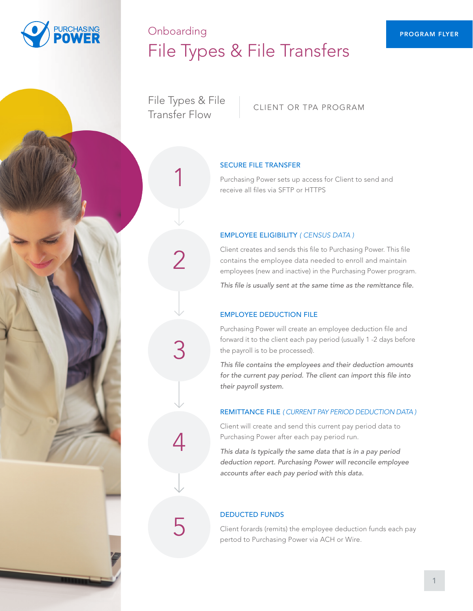

# Onboarding PROGRAM FLYER File Types & File Transfers

File Types & File The types with end client or the Program<br>Transfer Flow

2

3

4

#### SECURE FILE TRANSFER

Purchasing Power sets up access for Client to send and 1 receive all files via SFTP or HTTPS

#### EMPLOYEE ELIGIBILITY *( CENSUS DATA )*

Client creates and sends this file to Purchasing Power. This file contains the employee data needed to enroll and maintain employees (new and inactive) in the Purchasing Power program.

*This file is usually sent at the same time as the remittance file.* 

#### EMPLOYEE DEDUCTION FILE

Purchasing Power will create an employee deduction file and forward it to the client each pay period (usually 1 -2 days before the payroll is to be processed).

*This file contains the employees and their deduction amounts for the current pay period. The client can import this file into their payroll system.* 

#### REMITTANCE FILE *( CURRENT PAY PERIOD DEDUCTION DATA )*

Client will create and send this current pay period data to Purchasing Power after each pay period run.

*This data Is typically the same data that is in a pay period deduction report. Purchasing Power will reconcile employee accounts after each pay period with this data.*

#### DEDUCTED FUNDS

Client forards (remits) the employee deduction funds each pay 5 pertod to Purchasing Power via ACH or Wire.

1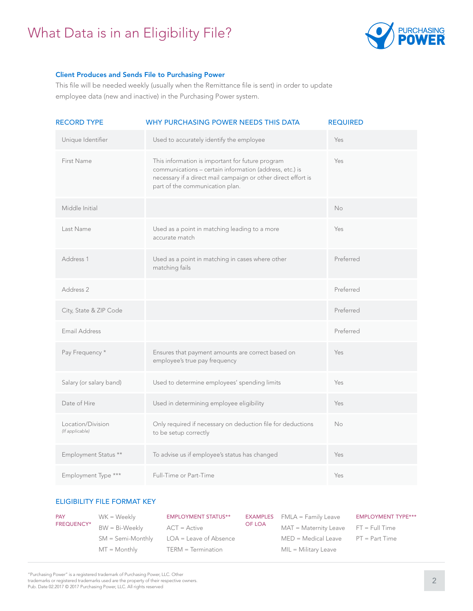## What Data is in an Eligibility File?



#### Client Produces and Sends File to Purchasing Power

This file will be needed weekly (usually when the Remittance file is sent) in order to update employee data (new and inactive) in the Purchasing Power system.

| <b>RECORD TYPE</b>                   | WHY PURCHASING POWER NEEDS THIS DATA                                                                                                                                                                            | <b>REQUIRED</b> |
|--------------------------------------|-----------------------------------------------------------------------------------------------------------------------------------------------------------------------------------------------------------------|-----------------|
| Unique Identifier                    | Used to accurately identify the employee                                                                                                                                                                        | Yes             |
| First Name                           | This information is important for future program<br>communications - certain information (address, etc.) is<br>necessary if a direct mail campaign or other direct effort is<br>part of the communication plan. | Yes             |
| Middle Initial                       |                                                                                                                                                                                                                 | No              |
| Last Name                            | Used as a point in matching leading to a more<br>accurate match                                                                                                                                                 | Yes             |
| Address 1                            | Used as a point in matching in cases where other<br>matching fails                                                                                                                                              | Preferred       |
| Address 2                            |                                                                                                                                                                                                                 | Preferred       |
| City, State & ZIP Code               |                                                                                                                                                                                                                 | Preferred       |
| Email Address                        |                                                                                                                                                                                                                 | Preferred       |
| Pay Frequency *                      | Ensures that payment amounts are correct based on<br>employee's true pay frequency                                                                                                                              | Yes             |
| Salary (or salary band)              | Used to determine employees' spending limits                                                                                                                                                                    | Yes             |
| Date of Hire                         | Used in determining employee eligibility                                                                                                                                                                        | Yes             |
| Location/Division<br>(If applicable) | Only required if necessary on deduction file for deductions<br>to be setup correctly                                                                                                                            | No              |
| Employment Status **                 | To advise us if employee's status has changed                                                                                                                                                                   | Yes             |
| Employment Type ***                  | Full-Time or Part-Time                                                                                                                                                                                          | Yes             |

#### ELIGIBILITY FILE FORMAT KEY

| <b>PAY</b>        | WK = Weekly         | <b>EMPLOYMENT STATUS**</b> |        | <b>EXAMPLES</b> $fMLA = Family Leave$ | <b>EMPLOYMENT TYPE***</b> |
|-------------------|---------------------|----------------------------|--------|---------------------------------------|---------------------------|
| <b>FREQUENCY*</b> | $BW = Bi-Weeklv$    | $ACT = Active$             | OF LOA | $MAT = Maternity Leave FT = FullTime$ |                           |
|                   |                     |                            |        |                                       |                           |
|                   | $SM =$ Semi-Monthly | $LOA =$ Leave of Absence   |        | $MED = Medical Leave$                 | PT = Part Time            |
|                   | $MT = Monthly$      | $TERM = Termination$       |        | $MIL = Military Leave$                |                           |

"Purchasing Power" is a registered trademark of Purchasing Power, LLC. Other

trademarks or registered trademarks used are the property of their respective owners. Pub. Date 02.2017 © 2017 Purchasing Power, LLC. All rights reserved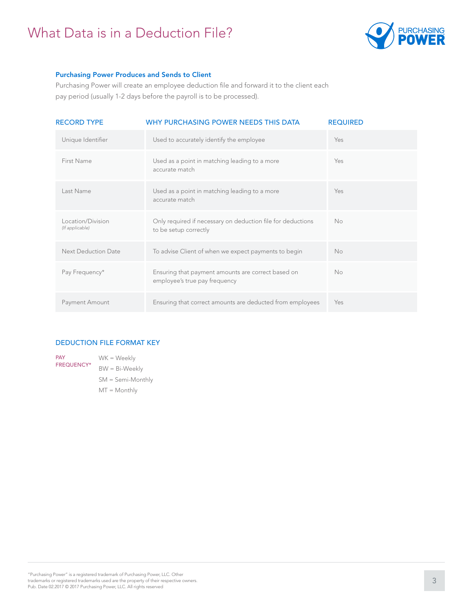## What Data is in a Deduction File?



#### Purchasing Power Produces and Sends to Client

Purchasing Power will create an employee deduction file and forward it to the client each pay period (usually 1-2 days before the payroll is to be processed).

| <b>RECORD TYPE</b>                   | WHY PURCHASING POWER NEEDS THIS DATA                                                 | <b>REQUIRED</b> |
|--------------------------------------|--------------------------------------------------------------------------------------|-----------------|
| Unique Identifier                    | Used to accurately identify the employee                                             | Yes             |
| First Name                           | Used as a point in matching leading to a more<br>accurate match                      | Yes             |
| Last Name                            | Used as a point in matching leading to a more<br>accurate match                      | Yes             |
| Location/Division<br>(If applicable) | Only required if necessary on deduction file for deductions<br>to be setup correctly | No              |
| <b>Next Deduction Date</b>           | To advise Client of when we expect payments to begin                                 | No              |
| Pay Frequency*                       | Ensuring that payment amounts are correct based on<br>employee's true pay frequency  | No              |
| Payment Amount                       | Ensuring that correct amounts are deducted from employees                            | Yes             |

#### DEDUCTION FILE FORMAT KEY

WK = Weekly BW = Bi-Weekly SM = Semi-Monthly MT = Monthly PAY FREQUENCY\*